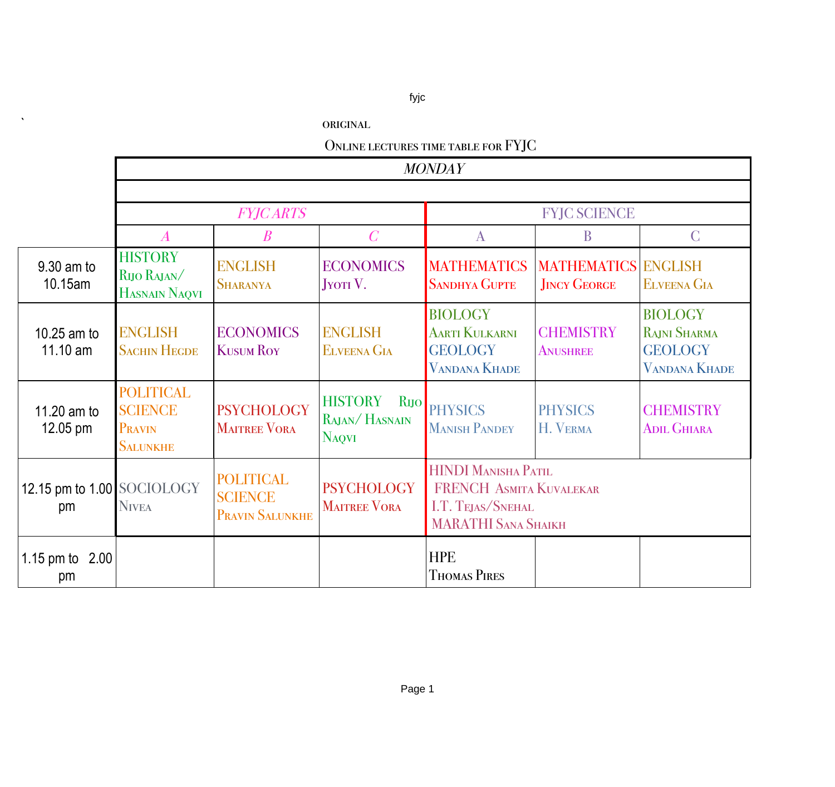## fyjc

|  |  | ORIGINAL |
|--|--|----------|
|  |  |          |

| ONLINE LECTURES TIME TABLE FOR FYJC |  |
|-------------------------------------|--|
|-------------------------------------|--|

|                                   | <b>MONDAY</b>                                                   |                                                              |                                                 |                                                                                                          |                                                   |                                                                                 |  |
|-----------------------------------|-----------------------------------------------------------------|--------------------------------------------------------------|-------------------------------------------------|----------------------------------------------------------------------------------------------------------|---------------------------------------------------|---------------------------------------------------------------------------------|--|
|                                   |                                                                 |                                                              |                                                 |                                                                                                          |                                                   |                                                                                 |  |
|                                   |                                                                 | <b>FYJCARTS</b>                                              |                                                 | <b>FYJC SCIENCE</b>                                                                                      |                                                   |                                                                                 |  |
|                                   | $\boldsymbol{A}$                                                | $\boldsymbol{B}$                                             | $\overline{C}$                                  | $\mathbf{A}$                                                                                             | B                                                 | $\mathcal{C}$                                                                   |  |
| 9.30 am to<br>10.15am             | <b>HISTORY</b><br>RIJO RAJAN/<br>HASNAIN NAQVI                  | <b>ENGLISH</b><br><b>SHARANYA</b>                            | <b>ECONOMICS</b><br><b>JYOTI</b> V.             | <b>MATHEMATICS</b><br><b>SANDHYA GUPTE</b>                                                               | <b>MATHEMATICS ENGLISH</b><br><b>JINCY GEORGE</b> | <b>ELVEENA GIA</b>                                                              |  |
| 10.25 am to<br>$11.10 \text{ am}$ | <b>ENGLISH</b><br><b>SACHIN HEGDE</b>                           | <b>ECONOMICS</b><br><b>KUSUM ROY</b>                         | <b>ENGLISH</b><br><b>ELVEENA GIA</b>            | <b>BIOLOGY</b><br><b>AARTI KULKARNI</b><br><b>GEOLOGY</b><br><b>VANDANA KHADE</b>                        | <b>CHEMISTRY</b><br><b>ANUSHREE</b>               | <b>BIOLOGY</b><br><b>RAJNI SHARMA</b><br><b>GEOLOGY</b><br><b>VANDANA KHADE</b> |  |
| 11.20 am to<br>$12.05$ pm         | <b>POLITICAL</b><br><b>SCIENCE</b><br>PRAVIN<br><b>SALUNKHE</b> | <b>PSYCHOLOGY</b><br><b>MAITREE VORA</b>                     | <b>HISTORY</b><br>RAJAN/HASNAIN<br><b>NAQVI</b> | RIJO PHYSICS<br><b>MANISH PANDEY</b>                                                                     | <b>PHYSICS</b><br>H. VERMA                        | <b>CHEMISTRY</b><br><b>ADIL GHIARA</b>                                          |  |
| 12.15 pm to 1.00 SOCIOLOGY<br>pm  | <b>NIVEA</b>                                                    | <b>POLITICAL</b><br><b>SCIENCE</b><br><b>PRAVIN SALUNKHE</b> | <b>PSYCHOLOGY</b><br><b>MAITREE VORA</b>        | <b>HINDI MANISHA PATIL</b><br>FRENCH ASMITA KUVALEKAR<br>I.T. TEJAS/SNEHAL<br><b>MARATHI SANA SHAIKH</b> |                                                   |                                                                                 |  |
| 1.15 pm to<br>2.00<br>pm          |                                                                 |                                                              |                                                 | <b>HPE</b><br><b>THOMAS PIRES</b>                                                                        |                                                   |                                                                                 |  |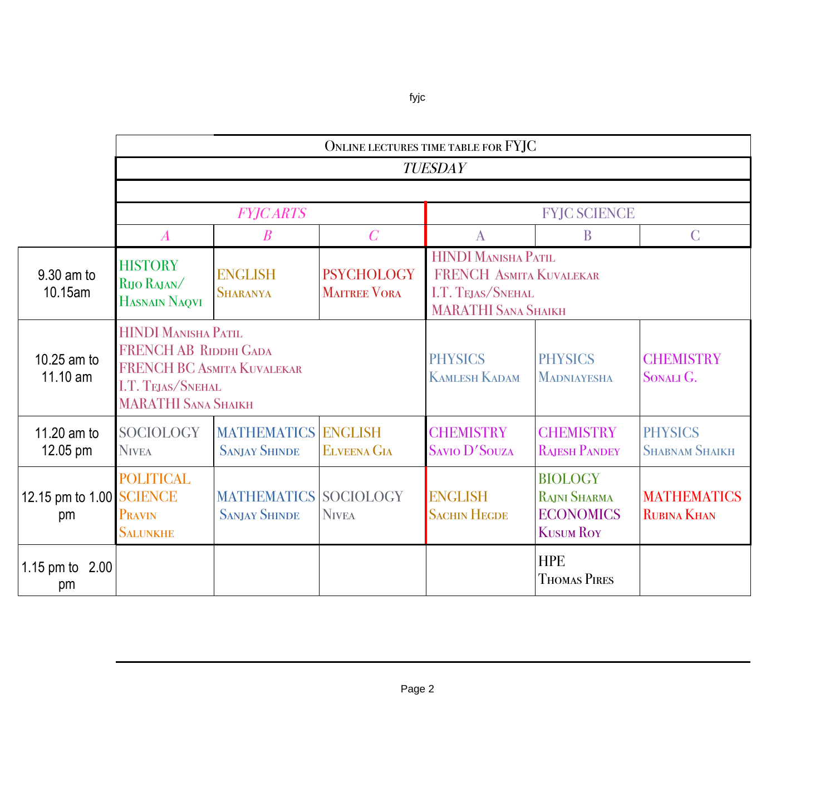|                                | ONLINE LECTURES TIME TABLE FOR FYJC                                                                                                                                                                                                         |                                                      |                    |                                        |                                                                        |                                          |  |  |
|--------------------------------|---------------------------------------------------------------------------------------------------------------------------------------------------------------------------------------------------------------------------------------------|------------------------------------------------------|--------------------|----------------------------------------|------------------------------------------------------------------------|------------------------------------------|--|--|
|                                | <b>TUESDAY</b>                                                                                                                                                                                                                              |                                                      |                    |                                        |                                                                        |                                          |  |  |
|                                |                                                                                                                                                                                                                                             |                                                      |                    |                                        |                                                                        |                                          |  |  |
|                                |                                                                                                                                                                                                                                             | <b>FYJCARTS</b>                                      |                    | <b>FYJC SCIENCE</b>                    |                                                                        |                                          |  |  |
|                                | $\boldsymbol{A}$                                                                                                                                                                                                                            | $\boldsymbol{B}$                                     | $\overline{C}$     | $\mathbf{A}$                           | B                                                                      | $\mathcal{C}$                            |  |  |
| 9.30 am to<br>10.15am          | <b>HINDI MANISHA PATIL</b><br><b>HISTORY</b><br><b>PSYCHOLOGY</b><br><b>ENGLISH</b><br>FRENCH ASMITA KUVALEKAR<br>RIJO RAJAN/<br><b>MAITREE VORA</b><br>I.T. TEJAS/SNEHAL<br><b>SHARANYA</b><br>HASNAIN NAQVI<br><b>MARATHI SANA SHAIKH</b> |                                                      |                    |                                        |                                                                        |                                          |  |  |
| 10.25 am to<br>11.10 am        | HINDI MANISHA PATIL<br><b>FRENCH AB RIDDHI GADA</b><br>FRENCH BC ASMITA KUVALEKAR<br>I.T. TEJAS/SNEHAL<br><b>MARATHI SANA SHAIKH</b>                                                                                                        |                                                      |                    | <b>PHYSICS</b><br><b>KAMLESH KADAM</b> | <b>PHYSICS</b><br><b>MADNIAYESHA</b>                                   | <b>CHEMISTRY</b><br>SONALI G.            |  |  |
| 11.20 am to<br>$12.05$ pm      | <b>SOCIOLOGY</b><br><b>NIVEA</b>                                                                                                                                                                                                            | <b>MATHEMATICS ENGLISH</b><br><b>SANJAY SHINDE</b>   | <b>ELVEENA GIA</b> | <b>CHEMISTRY</b><br>SAVIO D'SOUZA      | <b>CHEMISTRY</b><br><b>RAJESH PANDEY</b>                               | <b>PHYSICS</b><br><b>SHABNAM SHAIKH</b>  |  |  |
| 12.15 pm to 1.00 SCIENCE<br>pm | <b>POLITICAL</b><br>PRAVIN<br><b>SALUNKHE</b>                                                                                                                                                                                               | <b>MATHEMATICS SOCIOLOGY</b><br><b>SANJAY SHINDE</b> | <b>NIVEA</b>       | <b>ENGLISH</b><br><b>SACHIN HEGDE</b>  | <b>BIOLOGY</b><br>RAJNI SHARMA<br><b>ECONOMICS</b><br><b>KUSUM ROY</b> | <b>MATHEMATICS</b><br><b>RUBINA KHAN</b> |  |  |
| 1.15 pm to<br>2.00<br>pm       |                                                                                                                                                                                                                                             |                                                      |                    |                                        | <b>HPE</b><br><b>THOMAS PIRES</b>                                      |                                          |  |  |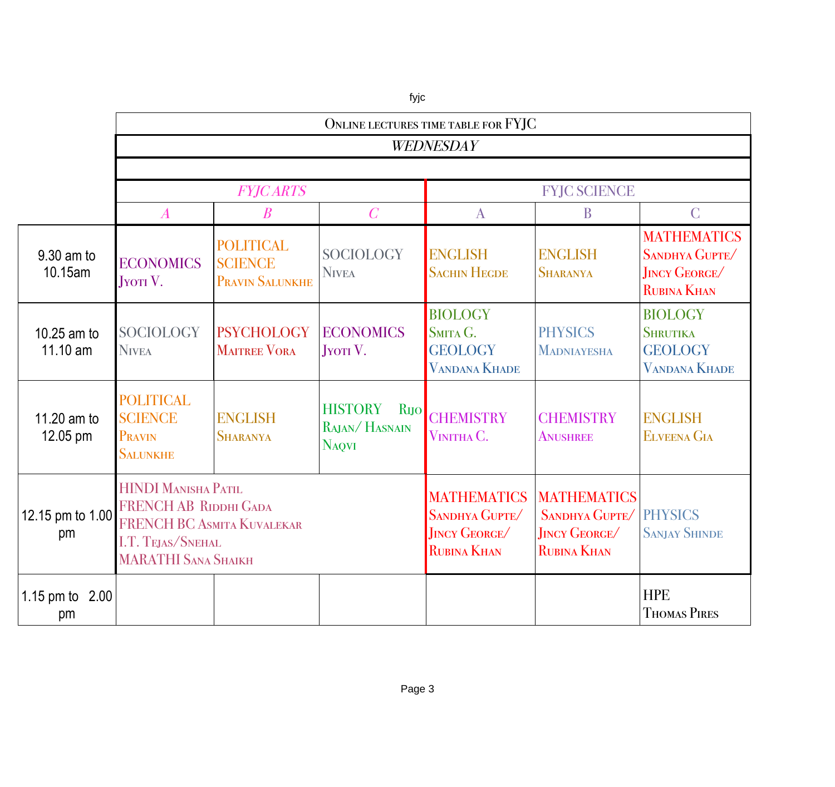|                         | ONLINE LECTURES TIME TABLE FOR FYJC                                                                                                         |                                                              |                                                                     |                                                                                   |                                                                                   |                                                                                   |  |  |
|-------------------------|---------------------------------------------------------------------------------------------------------------------------------------------|--------------------------------------------------------------|---------------------------------------------------------------------|-----------------------------------------------------------------------------------|-----------------------------------------------------------------------------------|-----------------------------------------------------------------------------------|--|--|
|                         | WEDNESDAY                                                                                                                                   |                                                              |                                                                     |                                                                                   |                                                                                   |                                                                                   |  |  |
|                         |                                                                                                                                             |                                                              |                                                                     |                                                                                   |                                                                                   |                                                                                   |  |  |
|                         |                                                                                                                                             | <b>FYJCARTS</b>                                              |                                                                     | <b>FYJC SCIENCE</b>                                                               |                                                                                   |                                                                                   |  |  |
|                         | $\boldsymbol{A}$                                                                                                                            | $\boldsymbol{B}$                                             | $\overline{C}$                                                      | A                                                                                 | B                                                                                 | $\mathcal{C}$                                                                     |  |  |
| 9.30 am to<br>10.15am   | <b>ECONOMICS</b><br>JYOTI <sub>V</sub> .                                                                                                    | <b>POLITICAL</b><br><b>SCIENCE</b><br><b>PRAVIN SALUNKHE</b> | <b>SOCIOLOGY</b><br><b>NIVEA</b>                                    | <b>ENGLISH</b><br><b>SACHIN HEGDE</b>                                             | <b>ENGLISH</b><br><b>SHARANYA</b>                                                 | <b>MATHEMATICS</b><br>SANDHYA GUPTE/<br><b>JINCY GEORGE</b><br><b>RUBINA KHAN</b> |  |  |
| 10.25 am to<br>11.10 am | <b>SOCIOLOGY</b><br><b>NIVEA</b>                                                                                                            | <b>PSYCHOLOGY</b><br><b>MAITREE VORA</b>                     | <b>ECONOMICS</b><br><b>JYOTI V.</b>                                 | <b>BIOLOGY</b><br>SMITA G.<br><b>GEOLOGY</b><br><b>VANDANA KHADE</b>              | <b>PHYSICS</b><br><b>MADNIAYESHA</b>                                              | <b>BIOLOGY</b><br><b>SHRUTIKA</b><br><b>GEOLOGY</b><br><b>VANDANA KHADE</b>       |  |  |
| 11.20 am to<br>12.05 pm | <b>POLITICAL</b><br><b>SCIENCE</b><br>PRAVIN<br><b>SALUNKHE</b>                                                                             | <b>ENGLISH</b><br><b>SHARANYA</b>                            | <b>HISTORY</b><br>R <sub>IJO</sub><br>RAJAN/HASNAIN<br><b>NAQVI</b> | <b>CHEMISTRY</b><br>VINITHA C.                                                    | <b>CHEMISTRY</b><br><b>ANUSHREE</b>                                               | <b>ENGLISH</b><br><b>ELVEENA GIA</b>                                              |  |  |
| 12.15 pm to 1.00<br>pm  | <b>HINDI MANISHA PATIL</b><br><b>FRENCH AB RIDDHI GADA</b><br>FRENCH BC ASMITA KUVALEKAR<br>I.T. TEJAS/SNEHAL<br><b>MARATHI SANA SHAIKH</b> |                                                              |                                                                     | <b>MATHEMATICS</b><br>SANDHYA GUPTE/<br><b>JINCY GEORGE</b><br><b>RUBINA KHAN</b> | <b>MATHEMATICS</b><br>SANDHYA GUPTE/<br><b>JINCY GEORGE</b><br><b>RUBINA KHAN</b> | <b>PHYSICS</b><br><b>SANJAY SHINDE</b>                                            |  |  |
| 1.15 pm to 2.00<br>pm   |                                                                                                                                             |                                                              |                                                                     |                                                                                   |                                                                                   | <b>HPE</b><br><b>THOMAS PIRES</b>                                                 |  |  |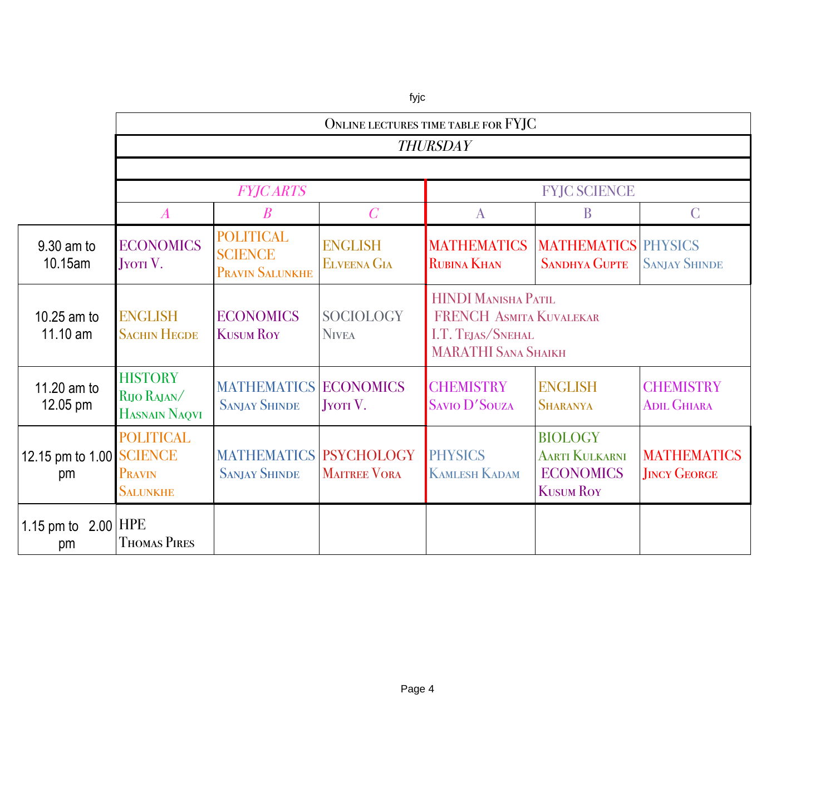|                                |                                                      | ONLINE LECTURES TIME TABLE FOR FYJC                   |                                      |                                                                                                                 |                                                                                 |                                           |  |  |
|--------------------------------|------------------------------------------------------|-------------------------------------------------------|--------------------------------------|-----------------------------------------------------------------------------------------------------------------|---------------------------------------------------------------------------------|-------------------------------------------|--|--|
|                                | <b>THURSDAY</b>                                      |                                                       |                                      |                                                                                                                 |                                                                                 |                                           |  |  |
|                                |                                                      |                                                       |                                      |                                                                                                                 |                                                                                 |                                           |  |  |
|                                |                                                      | <b>FYJCARTS</b>                                       |                                      | <b>FYJC SCIENCE</b>                                                                                             |                                                                                 |                                           |  |  |
|                                | $\boldsymbol{A}$                                     | $\pmb{B}$                                             | $\overline{C}$                       | $\mathbf{A}$                                                                                                    | B                                                                               | $\mathcal{C}$                             |  |  |
| 9.30 am to<br>10.15am          | <b>ECONOMICS</b><br>JYOTI V.                         | <b>POLITICAL</b><br><b>SCIENCE</b><br>PRAVIN SALUNKHE | <b>ENGLISH</b><br><b>ELVEENA GIA</b> | <b>MATHEMATICS</b><br><b>RUBINA KHAN</b>                                                                        | <b>MATHEMATICS PHYSICS</b><br><b>SANDHYA GUPTE</b>                              | <b>SANJAY SHINDE</b>                      |  |  |
| 10.25 am to<br>11.10 am        | <b>ENGLISH</b><br><b>SACHIN HEGDE</b>                | <b>ECONOMICS</b><br><b>KUSUM ROY</b>                  | <b>SOCIOLOGY</b><br><b>NIVEA</b>     | <b>HINDI MANISHA PATIL</b><br><b>FRENCH ASMITA KUVALEKAR</b><br>I.T. TEJAS/SNEHAL<br><b>MARATHI SANA SHAIKH</b> |                                                                                 |                                           |  |  |
| 11.20 am to<br>12.05 pm        | <b>HISTORY</b><br>RIJO RAJAN/<br>HASNAIN NAQVI       | <b>MATHEMATICS ECONOMICS</b><br><b>SANJAY SHINDE</b>  | <b>JYOTI</b> V.                      | <b>CHEMISTRY</b><br><b>SAVIO D'SOUZA</b>                                                                        | <b>ENGLISH</b><br><b>SHARANYA</b>                                               | <b>CHEMISTRY</b><br><b>ADIL GHIARA</b>    |  |  |
| 12.15 pm to 1.00 SCIENCE<br>pm | <b>POLITICAL</b><br><b>PRAVIN</b><br><b>SALUNKHE</b> | <b>MATHEMATICS PSYCHOLOGY</b><br><b>SANJAY SHINDE</b> | <b>MAITREE VORA</b>                  | <b>PHYSICS</b><br><b>KAMLESH KADAM</b>                                                                          | <b>BIOLOGY</b><br><b>AARTI KULKARNI</b><br><b>ECONOMICS</b><br><b>KUSUM ROY</b> | <b>MATHEMATICS</b><br><b>JINCY GEORGE</b> |  |  |
| 1.15 pm to $2.00$ HPE<br>pm    | <b>THOMAS PIRES</b>                                  |                                                       |                                      |                                                                                                                 |                                                                                 |                                           |  |  |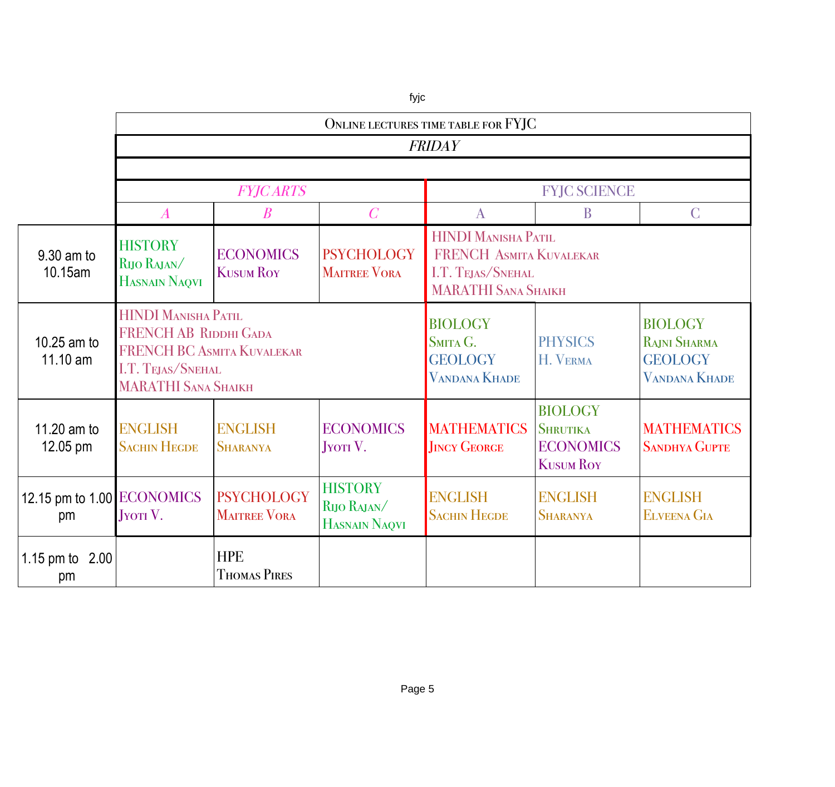|                                  | ONLINE LECTURES TIME TABLE FOR FYJC                                                                                                  |                                                                                                                                                                                              |                                       |                                                                      |                                                                           |                                                                                 |  |  |
|----------------------------------|--------------------------------------------------------------------------------------------------------------------------------------|----------------------------------------------------------------------------------------------------------------------------------------------------------------------------------------------|---------------------------------------|----------------------------------------------------------------------|---------------------------------------------------------------------------|---------------------------------------------------------------------------------|--|--|
|                                  | <b>FRIDAY</b>                                                                                                                        |                                                                                                                                                                                              |                                       |                                                                      |                                                                           |                                                                                 |  |  |
|                                  |                                                                                                                                      |                                                                                                                                                                                              |                                       |                                                                      |                                                                           |                                                                                 |  |  |
|                                  |                                                                                                                                      | <b>FYJCARTS</b>                                                                                                                                                                              |                                       | <b>FYJC SCIENCE</b>                                                  |                                                                           |                                                                                 |  |  |
|                                  | $\boldsymbol{A}$                                                                                                                     | $\boldsymbol{B}$                                                                                                                                                                             | $\overline{C}$                        | $\mathbf{A}$                                                         | B                                                                         | $\mathsf{C}$                                                                    |  |  |
| 9.30 am to<br>10.15am            | <b>HISTORY</b><br>RIJO RAJAN/<br>HASNAIN NAQVI                                                                                       | <b>HINDI MANISHA PATIL</b><br><b>PSYCHOLOGY</b><br><b>ECONOMICS</b><br>FRENCH ASMITA KUVALEKAR<br><b>KUSUM ROY</b><br><b>MAITREE VORA</b><br>I.T. TEJAS/SNEHAL<br><b>MARATHI SANA SHAIKH</b> |                                       |                                                                      |                                                                           |                                                                                 |  |  |
| 10.25 am to<br>11.10 am          | HINDI MANISHA PATIL<br><b>FRENCH AB RIDDHI GADA</b><br>FRENCH BC ASMITA KUVALEKAR<br>I.T. TEJAS/SNEHAL<br><b>MARATHI SANA SHAIKH</b> |                                                                                                                                                                                              |                                       | <b>BIOLOGY</b><br>SMITA G.<br><b>GEOLOGY</b><br><b>VANDANA KHADE</b> | <b>PHYSICS</b><br>H. VERMA                                                | <b>BIOLOGY</b><br><b>RAJNI SHARMA</b><br><b>GEOLOGY</b><br><b>VANDANA KHADE</b> |  |  |
| 11.20 am to<br>12.05 pm          | <b>ENGLISH</b><br><b>SACHIN HEGDE</b>                                                                                                | <b>ENGLISH</b><br><b>SHARANYA</b>                                                                                                                                                            | <b>ECONOMICS</b><br><b>JYOTI</b> V.   | <b>MATHEMATICS</b><br><b>JINCY GEORGE</b>                            | <b>BIOLOGY</b><br><b>SHRUTIKA</b><br><b>ECONOMICS</b><br><b>KUSUM ROY</b> | <b>MATHEMATICS</b><br><b>SANDHYA GUPTE</b>                                      |  |  |
| 12.15 pm to 1.00 ECONOMICS<br>pm | <b>HISTORY</b><br><b>PSYCHOLOGY</b><br>RIJO RAJAN/<br><b>MAITREE VORA</b><br>$JY$ TV.<br>HASNAIN NAQVI                               |                                                                                                                                                                                              | <b>ENGLISH</b><br><b>SACHIN HEGDE</b> | <b>ENGLISH</b><br><b>SHARANYA</b>                                    | <b>ENGLISH</b><br><b>ELVEENA GIA</b>                                      |                                                                                 |  |  |
| 1.15 pm to<br>2.00<br>pm         |                                                                                                                                      | <b>HPE</b><br><b>THOMAS PIRES</b>                                                                                                                                                            |                                       |                                                                      |                                                                           |                                                                                 |  |  |